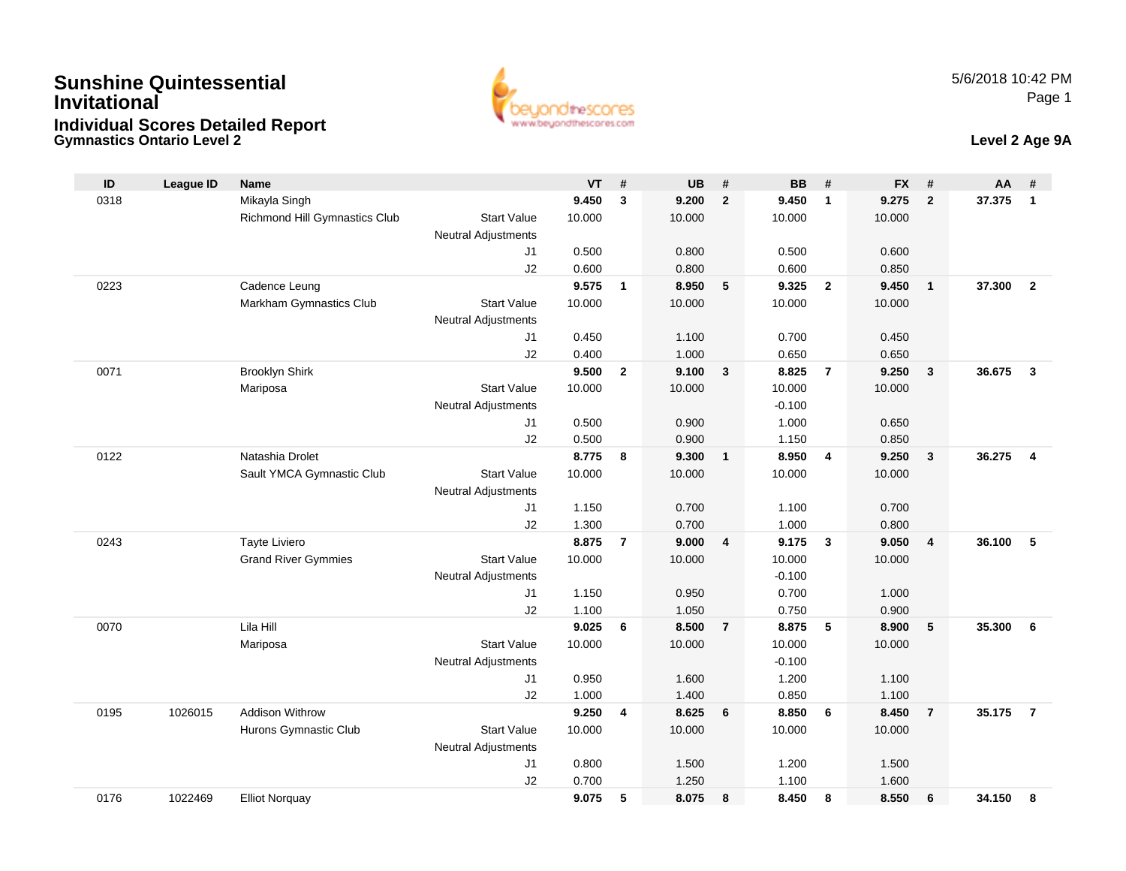### **Gymnastics Ontario Level 2 Level 2 Age 9ASunshine QuintessentialInvitationalIndividual Scores Detailed Report**



| ID   | <b>League ID</b> | <b>Name</b>                   |                            | VT     | #              | <b>UB</b> | #              | <b>BB</b> | #                       | <b>FX</b> | #              | AA     | #              |
|------|------------------|-------------------------------|----------------------------|--------|----------------|-----------|----------------|-----------|-------------------------|-----------|----------------|--------|----------------|
| 0318 |                  | Mikayla Singh                 |                            | 9.450  | 3              | 9.200     | $\overline{2}$ | 9.450     | $\mathbf{1}$            | 9.275     | $\overline{2}$ | 37.375 | $\mathbf{1}$   |
|      |                  | Richmond Hill Gymnastics Club | <b>Start Value</b>         | 10.000 |                | 10.000    |                | 10.000    |                         | 10.000    |                |        |                |
|      |                  |                               | Neutral Adjustments        |        |                |           |                |           |                         |           |                |        |                |
|      |                  |                               | J1                         | 0.500  |                | 0.800     |                | 0.500     |                         | 0.600     |                |        |                |
|      |                  |                               | J2                         | 0.600  |                | 0.800     |                | 0.600     |                         | 0.850     |                |        |                |
| 0223 |                  | Cadence Leung                 |                            | 9.575  | $\mathbf{1}$   | 8.950     | 5              | 9.325     | $\overline{\mathbf{2}}$ | 9.450     | $\overline{1}$ | 37.300 | $\overline{2}$ |
|      |                  | Markham Gymnastics Club       | <b>Start Value</b>         | 10.000 |                | 10.000    |                | 10.000    |                         | 10.000    |                |        |                |
|      |                  |                               | Neutral Adjustments        |        |                |           |                |           |                         |           |                |        |                |
|      |                  |                               | J1                         | 0.450  |                | 1.100     |                | 0.700     |                         | 0.450     |                |        |                |
|      |                  |                               | J2                         | 0.400  |                | 1.000     |                | 0.650     |                         | 0.650     |                |        |                |
| 0071 |                  | <b>Brooklyn Shirk</b>         |                            | 9.500  | $\overline{2}$ | 9.100     | $\mathbf{3}$   | 8.825     | $\overline{7}$          | 9.250     | $\mathbf{3}$   | 36.675 | $\mathbf{3}$   |
|      |                  | Mariposa                      | <b>Start Value</b>         | 10.000 |                | 10.000    |                | 10.000    |                         | 10.000    |                |        |                |
|      |                  |                               | Neutral Adjustments        |        |                |           |                | $-0.100$  |                         |           |                |        |                |
|      |                  |                               | J1                         | 0.500  |                | 0.900     |                | 1.000     |                         | 0.650     |                |        |                |
|      |                  |                               | J2                         | 0.500  |                | 0.900     |                | 1.150     |                         | 0.850     |                |        |                |
| 0122 |                  | Natashia Drolet               |                            | 8.775  | 8              | 9.300     | $\mathbf{1}$   | 8.950     | $\overline{4}$          | 9.250     | $\mathbf{3}$   | 36.275 | $\overline{4}$ |
|      |                  | Sault YMCA Gymnastic Club     | <b>Start Value</b>         | 10.000 |                | 10.000    |                | 10.000    |                         | 10.000    |                |        |                |
|      |                  |                               | Neutral Adjustments        |        |                |           |                |           |                         |           |                |        |                |
|      |                  |                               | J1                         | 1.150  |                | 0.700     |                | 1.100     |                         | 0.700     |                |        |                |
|      |                  |                               | J2                         | 1.300  |                | 0.700     |                | 1.000     |                         | 0.800     |                |        |                |
| 0243 |                  | Tayte Liviero                 |                            | 8.875  | $\overline{7}$ | 9.000     | $\overline{4}$ | 9.175     | $\overline{\mathbf{3}}$ | 9.050     | $\overline{4}$ | 36.100 | 5              |
|      |                  | <b>Grand River Gymmies</b>    | <b>Start Value</b>         | 10.000 |                | 10.000    |                | 10.000    |                         | 10.000    |                |        |                |
|      |                  |                               | <b>Neutral Adjustments</b> |        |                |           |                | $-0.100$  |                         |           |                |        |                |
|      |                  |                               | J1                         | 1.150  |                | 0.950     |                | 0.700     |                         | 1.000     |                |        |                |
|      |                  |                               | J2                         | 1.100  |                | 1.050     |                | 0.750     |                         | 0.900     |                |        |                |
| 0070 |                  | Lila Hill                     |                            | 9.025  | 6              | 8.500     | $\overline{7}$ | 8.875     | $-5$                    | 8.900     | 5              | 35.300 | 6              |
|      |                  | Mariposa                      | <b>Start Value</b>         | 10.000 |                | 10.000    |                | 10.000    |                         | 10.000    |                |        |                |
|      |                  |                               | <b>Neutral Adjustments</b> |        |                |           |                | $-0.100$  |                         |           |                |        |                |
|      |                  |                               | J1                         | 0.950  |                | 1.600     |                | 1.200     |                         | 1.100     |                |        |                |
|      |                  |                               | J2                         | 1.000  |                | 1.400     |                | 0.850     |                         | 1.100     |                |        |                |
| 0195 | 1026015          | <b>Addison Withrow</b>        |                            | 9.250  | 4              | 8.625     | 6              | 8.850     | 6                       | 8.450     | $\overline{7}$ | 35.175 | $\overline{7}$ |
|      |                  | Hurons Gymnastic Club         | <b>Start Value</b>         | 10.000 |                | 10.000    |                | 10.000    |                         | 10.000    |                |        |                |
|      |                  |                               | <b>Neutral Adjustments</b> |        |                |           |                |           |                         |           |                |        |                |
|      |                  |                               | J1                         | 0.800  |                | 1.500     |                | 1.200     |                         | 1.500     |                |        |                |
|      |                  |                               | J2                         | 0.700  |                | 1.250     |                | 1.100     |                         | 1.600     |                |        |                |
| 0176 | 1022469          | <b>Elliot Norguay</b>         |                            | 9.075  | 5              | 8.075     | 8              | 8.450     | 8                       | 8.550     | 6              | 34.150 | 8              |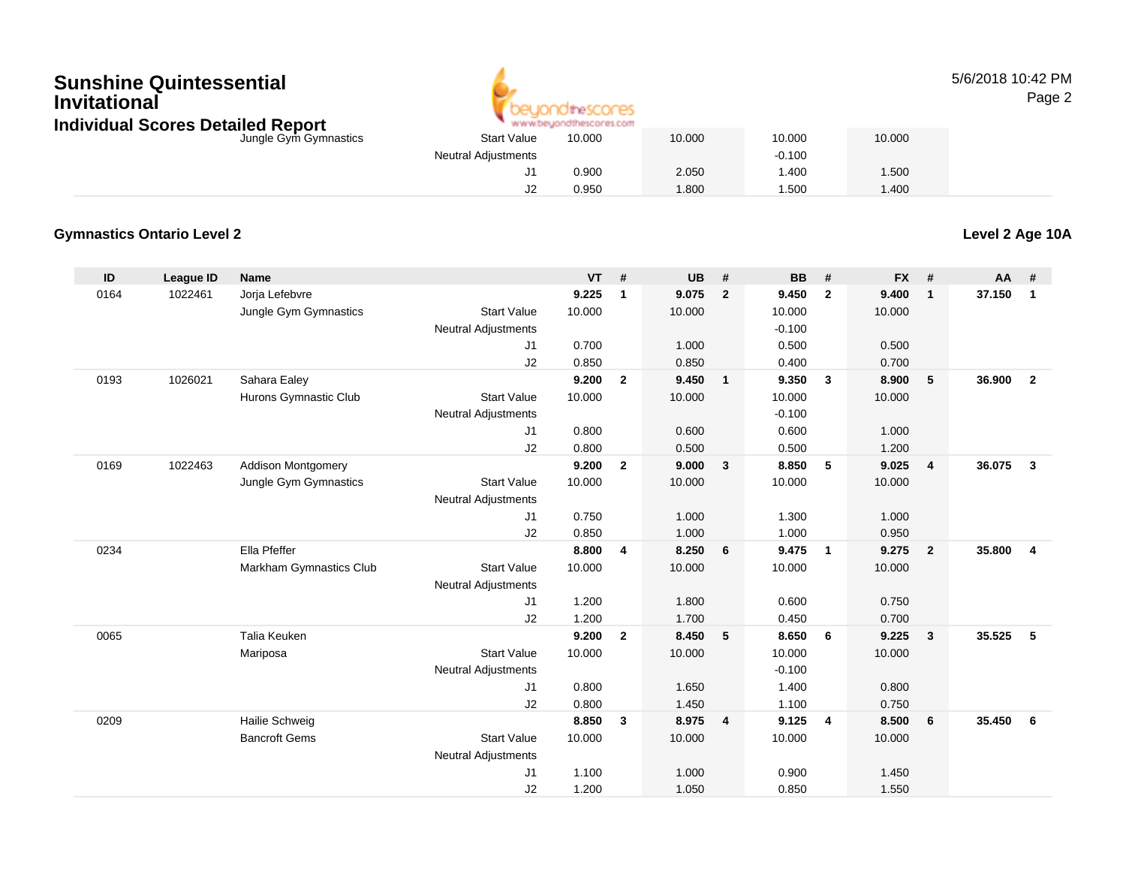## **Sunshine QuintessentialInvitationalIndividual Scores Detailed Report**



5/6/2018 10:42 PMPage 2

| hdividual Scores Detailed Report |                            | www.beyondthescores.com |        |          |        |
|----------------------------------|----------------------------|-------------------------|--------|----------|--------|
| Jungle Gym Gymnastics            | <b>Start Value</b>         | 10.000                  | 10.000 | 10.000   | 10.000 |
|                                  | <b>Neutral Adjustments</b> |                         |        | $-0.100$ |        |
|                                  |                            | 0.900                   | 2.050  | .400     | .500   |
|                                  |                            | 0.950                   | 1.800  | .500     | : 400  |

#### **Gymnastics Ontario Level 2**

**Level 2 Age 10A**

| ID   | <b>League ID</b> | <b>Name</b>               |                            | <b>VT</b> | #              | <b>UB</b> | #              | <b>BB</b> | #                       | <b>FX</b> | #              | AA     | #              |
|------|------------------|---------------------------|----------------------------|-----------|----------------|-----------|----------------|-----------|-------------------------|-----------|----------------|--------|----------------|
| 0164 | 1022461          | Jorja Lefebvre            |                            | 9.225     | $\mathbf{1}$   | 9.075     | $\overline{2}$ | 9.450     | $\overline{2}$          | 9.400     | $\mathbf{1}$   | 37.150 | $\mathbf{1}$   |
|      |                  | Jungle Gym Gymnastics     | <b>Start Value</b>         | 10.000    |                | 10.000    |                | 10.000    |                         | 10.000    |                |        |                |
|      |                  |                           | <b>Neutral Adjustments</b> |           |                |           |                | $-0.100$  |                         |           |                |        |                |
|      |                  |                           | J1                         | 0.700     |                | 1.000     |                | 0.500     |                         | 0.500     |                |        |                |
|      |                  |                           | J2                         | 0.850     |                | 0.850     |                | 0.400     |                         | 0.700     |                |        |                |
| 0193 | 1026021          | Sahara Ealey              |                            | 9.200     | $\mathbf{2}$   | 9.450     | $\mathbf{1}$   | 9.350     | $\overline{\mathbf{3}}$ | 8.900     | 5              | 36.900 | $\overline{2}$ |
|      |                  | Hurons Gymnastic Club     | <b>Start Value</b>         | 10.000    |                | 10.000    |                | 10.000    |                         | 10.000    |                |        |                |
|      |                  |                           | <b>Neutral Adjustments</b> |           |                |           |                | $-0.100$  |                         |           |                |        |                |
|      |                  |                           | J1                         | 0.800     |                | 0.600     |                | 0.600     |                         | 1.000     |                |        |                |
|      |                  |                           | J2                         | 0.800     |                | 0.500     |                | 0.500     |                         | 1.200     |                |        |                |
| 0169 | 1022463          | <b>Addison Montgomery</b> |                            | 9.200     | $\overline{2}$ | 9.000     | $\mathbf{3}$   | 8.850     | 5                       | 9.025     | $\overline{4}$ | 36.075 | $\mathbf{3}$   |
|      |                  | Jungle Gym Gymnastics     | <b>Start Value</b>         | 10.000    |                | 10.000    |                | 10.000    |                         | 10.000    |                |        |                |
|      |                  |                           | <b>Neutral Adjustments</b> |           |                |           |                |           |                         |           |                |        |                |
|      |                  |                           | J1                         | 0.750     |                | 1.000     |                | 1.300     |                         | 1.000     |                |        |                |
|      |                  |                           | J2                         | 0.850     |                | 1.000     |                | 1.000     |                         | 0.950     |                |        |                |
| 0234 |                  | Ella Pfeffer              |                            | 8.800     | 4              | 8.250     | 6              | 9.475     | $\overline{1}$          | 9.275     | $\overline{2}$ | 35,800 | 4              |
|      |                  | Markham Gymnastics Club   | <b>Start Value</b>         | 10.000    |                | 10.000    |                | 10.000    |                         | 10.000    |                |        |                |
|      |                  |                           | <b>Neutral Adjustments</b> |           |                |           |                |           |                         |           |                |        |                |
|      |                  |                           | J1                         | 1.200     |                | 1.800     |                | 0.600     |                         | 0.750     |                |        |                |
|      |                  |                           | J2                         | 1.200     |                | 1.700     |                | 0.450     |                         | 0.700     |                |        |                |
| 0065 |                  | Talia Keuken              |                            | 9.200     | $\overline{2}$ | 8.450     | 5              | 8.650     | 6                       | 9.225     | $\mathbf{3}$   | 35.525 | $\sqrt{5}$     |
|      |                  | Mariposa                  | <b>Start Value</b>         | 10.000    |                | 10.000    |                | 10.000    |                         | 10.000    |                |        |                |
|      |                  |                           | <b>Neutral Adjustments</b> |           |                |           |                | $-0.100$  |                         |           |                |        |                |
|      |                  |                           | J1                         | 0.800     |                | 1.650     |                | 1.400     |                         | 0.800     |                |        |                |
|      |                  |                           | J2                         | 0.800     |                | 1.450     |                | 1.100     |                         | 0.750     |                |        |                |
| 0209 |                  | Hailie Schweig            |                            | 8.850     | 3              | 8.975     | $\overline{4}$ | 9.125     | 4                       | 8.500     | 6              | 35.450 | 6              |
|      |                  | <b>Bancroft Gems</b>      | <b>Start Value</b>         | 10.000    |                | 10.000    |                | 10.000    |                         | 10.000    |                |        |                |
|      |                  |                           | <b>Neutral Adjustments</b> |           |                |           |                |           |                         |           |                |        |                |
|      |                  |                           | J1                         | 1.100     |                | 1.000     |                | 0.900     |                         | 1.450     |                |        |                |
|      |                  |                           | J2                         | 1.200     |                | 1.050     |                | 0.850     |                         | 1.550     |                |        |                |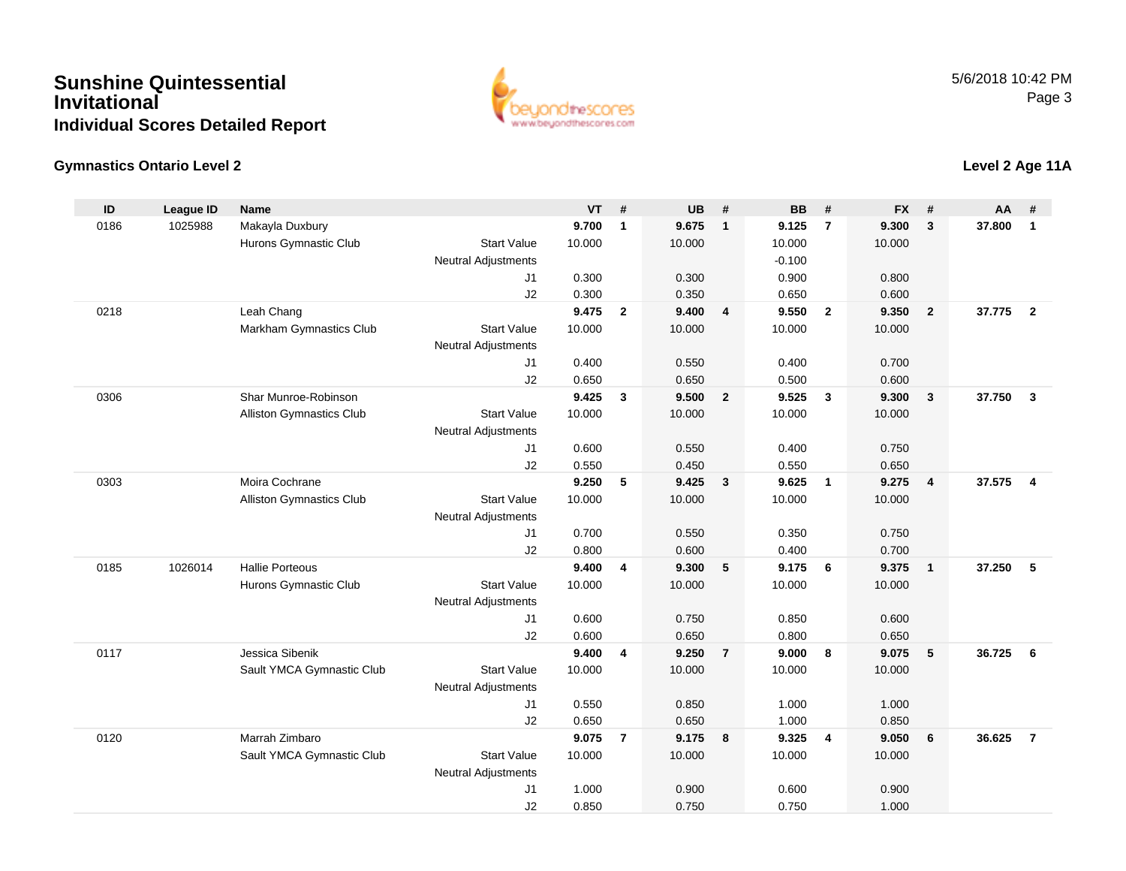## **Sunshine QuintessentialInvitationalIndividual Scores Detailed Report**



### **Gymnastics Ontario Level 2**

| Makayla Duxbury<br>9.700<br>9.675<br>9.300<br>37,800<br>0186<br>1025988<br>$\mathbf{1}$<br>9.125<br>$\overline{7}$<br>3<br>$\mathbf{1}$<br>$\overline{1}$<br>Hurons Gymnastic Club<br><b>Start Value</b><br>10.000<br>10.000<br>10.000<br>10.000<br><b>Neutral Adjustments</b><br>$-0.100$<br>0.800<br>J <sub>1</sub><br>0.300<br>0.300<br>0.900<br>J2<br>0.300<br>0.350<br>0.650<br>0.600<br>Leah Chang<br>9.475<br>$\overline{2}$<br>9.400<br>9.550<br>37.775<br>0218<br>$\overline{\mathbf{4}}$<br>$\overline{\mathbf{2}}$<br>9.350<br>$\overline{2}$<br>$\overline{2}$<br>10.000<br>10.000<br>10.000<br>Markham Gymnastics Club<br><b>Start Value</b><br>10.000<br>Neutral Adjustments<br>0.400<br>0.550<br>0.400<br>0.700<br>J1<br>J2<br>0.650<br>0.650<br>0.500<br>0.600<br>Shar Munroe-Robinson<br>9.425<br>9.500<br>$\overline{2}$<br>9.525<br>9.300<br>37.750<br>$\mathbf{3}$<br>0306<br>3<br>$\mathbf{3}$<br>$\mathbf{3}$<br><b>Start Value</b><br>10.000<br>10.000<br>10.000<br>Alliston Gymnastics Club<br>10.000<br>Neutral Adjustments<br>J1<br>0.600<br>0.550<br>0.400<br>0.750<br>0.550<br>J2<br>0.450<br>0.550<br>0.650<br>9.250<br>9.425<br>9.625<br>37.575<br>0303<br>Moira Cochrane<br>5<br>$\overline{\mathbf{3}}$<br>$\overline{\mathbf{1}}$<br>9.275<br>$\overline{4}$<br>$\overline{\mathbf{4}}$<br><b>Start Value</b><br>Alliston Gymnastics Club<br>10.000<br>10.000<br>10.000<br>10.000<br>Neutral Adjustments<br>0.700<br>0.550<br>0.750<br>J1<br>0.350<br>J2<br>0.800<br>0.600<br>0.400<br>0.700<br><b>Hallie Porteous</b><br>5<br>5<br>1026014<br>9.400<br>$\overline{\mathbf{4}}$<br>9.300<br>9.175<br>6<br>9.375<br>37.250<br>0185<br>$\mathbf{1}$<br><b>Start Value</b><br>Hurons Gymnastic Club<br>10.000<br>10.000<br>10.000<br>10.000<br>Neutral Adjustments<br>0.600<br>0.600<br>0.750<br>0.850<br>J1<br>J2<br>0.600<br>0.650<br>0.800<br>0.650<br>Jessica Sibenik<br>9.400<br>9.250<br>9.000<br>8<br>9.075<br>5<br>36.725<br>0117<br>4<br>$\overline{7}$<br>6<br>Sault YMCA Gymnastic Club<br><b>Start Value</b><br>10.000<br>10.000<br>10.000<br>10.000<br>Neutral Adjustments<br>0.550<br>0.850<br>1.000<br>1.000<br>J1<br>0.650<br>0.650<br>J2<br>1.000<br>0.850<br>0120<br>Marrah Zimbaro<br>9.075<br>$\overline{7}$<br>9.175<br>$\overline{\mathbf{8}}$<br>9.325<br>$\overline{4}$<br>9.050<br>6<br>36.625<br>$\overline{7}$<br>Sault YMCA Gymnastic Club<br><b>Start Value</b><br>10.000<br>10.000<br>10.000<br>10.000<br>Neutral Adjustments<br>J <sub>1</sub><br>1.000<br>0.900<br>0.600<br>0.900 | ID | <b>League ID</b> | <b>Name</b> | <b>VT</b> | # | <b>UB</b> | # | <b>BB</b> | # | <b>FX</b> | # | <b>AA</b> | # |
|-------------------------------------------------------------------------------------------------------------------------------------------------------------------------------------------------------------------------------------------------------------------------------------------------------------------------------------------------------------------------------------------------------------------------------------------------------------------------------------------------------------------------------------------------------------------------------------------------------------------------------------------------------------------------------------------------------------------------------------------------------------------------------------------------------------------------------------------------------------------------------------------------------------------------------------------------------------------------------------------------------------------------------------------------------------------------------------------------------------------------------------------------------------------------------------------------------------------------------------------------------------------------------------------------------------------------------------------------------------------------------------------------------------------------------------------------------------------------------------------------------------------------------------------------------------------------------------------------------------------------------------------------------------------------------------------------------------------------------------------------------------------------------------------------------------------------------------------------------------------------------------------------------------------------------------------------------------------------------------------------------------------------------------------------------------------------------------------------------------------------------------------------------------------------------------------------------------------------------------------------------------------------------------------------------------------------------------------------------------------------------------------------------------------------------------------------------------------------------------------------------------------------------------------------|----|------------------|-------------|-----------|---|-----------|---|-----------|---|-----------|---|-----------|---|
|                                                                                                                                                                                                                                                                                                                                                                                                                                                                                                                                                                                                                                                                                                                                                                                                                                                                                                                                                                                                                                                                                                                                                                                                                                                                                                                                                                                                                                                                                                                                                                                                                                                                                                                                                                                                                                                                                                                                                                                                                                                                                                                                                                                                                                                                                                                                                                                                                                                                                                                                                 |    |                  |             |           |   |           |   |           |   |           |   |           |   |
|                                                                                                                                                                                                                                                                                                                                                                                                                                                                                                                                                                                                                                                                                                                                                                                                                                                                                                                                                                                                                                                                                                                                                                                                                                                                                                                                                                                                                                                                                                                                                                                                                                                                                                                                                                                                                                                                                                                                                                                                                                                                                                                                                                                                                                                                                                                                                                                                                                                                                                                                                 |    |                  |             |           |   |           |   |           |   |           |   |           |   |
|                                                                                                                                                                                                                                                                                                                                                                                                                                                                                                                                                                                                                                                                                                                                                                                                                                                                                                                                                                                                                                                                                                                                                                                                                                                                                                                                                                                                                                                                                                                                                                                                                                                                                                                                                                                                                                                                                                                                                                                                                                                                                                                                                                                                                                                                                                                                                                                                                                                                                                                                                 |    |                  |             |           |   |           |   |           |   |           |   |           |   |
|                                                                                                                                                                                                                                                                                                                                                                                                                                                                                                                                                                                                                                                                                                                                                                                                                                                                                                                                                                                                                                                                                                                                                                                                                                                                                                                                                                                                                                                                                                                                                                                                                                                                                                                                                                                                                                                                                                                                                                                                                                                                                                                                                                                                                                                                                                                                                                                                                                                                                                                                                 |    |                  |             |           |   |           |   |           |   |           |   |           |   |
|                                                                                                                                                                                                                                                                                                                                                                                                                                                                                                                                                                                                                                                                                                                                                                                                                                                                                                                                                                                                                                                                                                                                                                                                                                                                                                                                                                                                                                                                                                                                                                                                                                                                                                                                                                                                                                                                                                                                                                                                                                                                                                                                                                                                                                                                                                                                                                                                                                                                                                                                                 |    |                  |             |           |   |           |   |           |   |           |   |           |   |
|                                                                                                                                                                                                                                                                                                                                                                                                                                                                                                                                                                                                                                                                                                                                                                                                                                                                                                                                                                                                                                                                                                                                                                                                                                                                                                                                                                                                                                                                                                                                                                                                                                                                                                                                                                                                                                                                                                                                                                                                                                                                                                                                                                                                                                                                                                                                                                                                                                                                                                                                                 |    |                  |             |           |   |           |   |           |   |           |   |           |   |
|                                                                                                                                                                                                                                                                                                                                                                                                                                                                                                                                                                                                                                                                                                                                                                                                                                                                                                                                                                                                                                                                                                                                                                                                                                                                                                                                                                                                                                                                                                                                                                                                                                                                                                                                                                                                                                                                                                                                                                                                                                                                                                                                                                                                                                                                                                                                                                                                                                                                                                                                                 |    |                  |             |           |   |           |   |           |   |           |   |           |   |
|                                                                                                                                                                                                                                                                                                                                                                                                                                                                                                                                                                                                                                                                                                                                                                                                                                                                                                                                                                                                                                                                                                                                                                                                                                                                                                                                                                                                                                                                                                                                                                                                                                                                                                                                                                                                                                                                                                                                                                                                                                                                                                                                                                                                                                                                                                                                                                                                                                                                                                                                                 |    |                  |             |           |   |           |   |           |   |           |   |           |   |
|                                                                                                                                                                                                                                                                                                                                                                                                                                                                                                                                                                                                                                                                                                                                                                                                                                                                                                                                                                                                                                                                                                                                                                                                                                                                                                                                                                                                                                                                                                                                                                                                                                                                                                                                                                                                                                                                                                                                                                                                                                                                                                                                                                                                                                                                                                                                                                                                                                                                                                                                                 |    |                  |             |           |   |           |   |           |   |           |   |           |   |
|                                                                                                                                                                                                                                                                                                                                                                                                                                                                                                                                                                                                                                                                                                                                                                                                                                                                                                                                                                                                                                                                                                                                                                                                                                                                                                                                                                                                                                                                                                                                                                                                                                                                                                                                                                                                                                                                                                                                                                                                                                                                                                                                                                                                                                                                                                                                                                                                                                                                                                                                                 |    |                  |             |           |   |           |   |           |   |           |   |           |   |
|                                                                                                                                                                                                                                                                                                                                                                                                                                                                                                                                                                                                                                                                                                                                                                                                                                                                                                                                                                                                                                                                                                                                                                                                                                                                                                                                                                                                                                                                                                                                                                                                                                                                                                                                                                                                                                                                                                                                                                                                                                                                                                                                                                                                                                                                                                                                                                                                                                                                                                                                                 |    |                  |             |           |   |           |   |           |   |           |   |           |   |
|                                                                                                                                                                                                                                                                                                                                                                                                                                                                                                                                                                                                                                                                                                                                                                                                                                                                                                                                                                                                                                                                                                                                                                                                                                                                                                                                                                                                                                                                                                                                                                                                                                                                                                                                                                                                                                                                                                                                                                                                                                                                                                                                                                                                                                                                                                                                                                                                                                                                                                                                                 |    |                  |             |           |   |           |   |           |   |           |   |           |   |
|                                                                                                                                                                                                                                                                                                                                                                                                                                                                                                                                                                                                                                                                                                                                                                                                                                                                                                                                                                                                                                                                                                                                                                                                                                                                                                                                                                                                                                                                                                                                                                                                                                                                                                                                                                                                                                                                                                                                                                                                                                                                                                                                                                                                                                                                                                                                                                                                                                                                                                                                                 |    |                  |             |           |   |           |   |           |   |           |   |           |   |
|                                                                                                                                                                                                                                                                                                                                                                                                                                                                                                                                                                                                                                                                                                                                                                                                                                                                                                                                                                                                                                                                                                                                                                                                                                                                                                                                                                                                                                                                                                                                                                                                                                                                                                                                                                                                                                                                                                                                                                                                                                                                                                                                                                                                                                                                                                                                                                                                                                                                                                                                                 |    |                  |             |           |   |           |   |           |   |           |   |           |   |
|                                                                                                                                                                                                                                                                                                                                                                                                                                                                                                                                                                                                                                                                                                                                                                                                                                                                                                                                                                                                                                                                                                                                                                                                                                                                                                                                                                                                                                                                                                                                                                                                                                                                                                                                                                                                                                                                                                                                                                                                                                                                                                                                                                                                                                                                                                                                                                                                                                                                                                                                                 |    |                  |             |           |   |           |   |           |   |           |   |           |   |
|                                                                                                                                                                                                                                                                                                                                                                                                                                                                                                                                                                                                                                                                                                                                                                                                                                                                                                                                                                                                                                                                                                                                                                                                                                                                                                                                                                                                                                                                                                                                                                                                                                                                                                                                                                                                                                                                                                                                                                                                                                                                                                                                                                                                                                                                                                                                                                                                                                                                                                                                                 |    |                  |             |           |   |           |   |           |   |           |   |           |   |
|                                                                                                                                                                                                                                                                                                                                                                                                                                                                                                                                                                                                                                                                                                                                                                                                                                                                                                                                                                                                                                                                                                                                                                                                                                                                                                                                                                                                                                                                                                                                                                                                                                                                                                                                                                                                                                                                                                                                                                                                                                                                                                                                                                                                                                                                                                                                                                                                                                                                                                                                                 |    |                  |             |           |   |           |   |           |   |           |   |           |   |
|                                                                                                                                                                                                                                                                                                                                                                                                                                                                                                                                                                                                                                                                                                                                                                                                                                                                                                                                                                                                                                                                                                                                                                                                                                                                                                                                                                                                                                                                                                                                                                                                                                                                                                                                                                                                                                                                                                                                                                                                                                                                                                                                                                                                                                                                                                                                                                                                                                                                                                                                                 |    |                  |             |           |   |           |   |           |   |           |   |           |   |
|                                                                                                                                                                                                                                                                                                                                                                                                                                                                                                                                                                                                                                                                                                                                                                                                                                                                                                                                                                                                                                                                                                                                                                                                                                                                                                                                                                                                                                                                                                                                                                                                                                                                                                                                                                                                                                                                                                                                                                                                                                                                                                                                                                                                                                                                                                                                                                                                                                                                                                                                                 |    |                  |             |           |   |           |   |           |   |           |   |           |   |
|                                                                                                                                                                                                                                                                                                                                                                                                                                                                                                                                                                                                                                                                                                                                                                                                                                                                                                                                                                                                                                                                                                                                                                                                                                                                                                                                                                                                                                                                                                                                                                                                                                                                                                                                                                                                                                                                                                                                                                                                                                                                                                                                                                                                                                                                                                                                                                                                                                                                                                                                                 |    |                  |             |           |   |           |   |           |   |           |   |           |   |
|                                                                                                                                                                                                                                                                                                                                                                                                                                                                                                                                                                                                                                                                                                                                                                                                                                                                                                                                                                                                                                                                                                                                                                                                                                                                                                                                                                                                                                                                                                                                                                                                                                                                                                                                                                                                                                                                                                                                                                                                                                                                                                                                                                                                                                                                                                                                                                                                                                                                                                                                                 |    |                  |             |           |   |           |   |           |   |           |   |           |   |
|                                                                                                                                                                                                                                                                                                                                                                                                                                                                                                                                                                                                                                                                                                                                                                                                                                                                                                                                                                                                                                                                                                                                                                                                                                                                                                                                                                                                                                                                                                                                                                                                                                                                                                                                                                                                                                                                                                                                                                                                                                                                                                                                                                                                                                                                                                                                                                                                                                                                                                                                                 |    |                  |             |           |   |           |   |           |   |           |   |           |   |
|                                                                                                                                                                                                                                                                                                                                                                                                                                                                                                                                                                                                                                                                                                                                                                                                                                                                                                                                                                                                                                                                                                                                                                                                                                                                                                                                                                                                                                                                                                                                                                                                                                                                                                                                                                                                                                                                                                                                                                                                                                                                                                                                                                                                                                                                                                                                                                                                                                                                                                                                                 |    |                  |             |           |   |           |   |           |   |           |   |           |   |
|                                                                                                                                                                                                                                                                                                                                                                                                                                                                                                                                                                                                                                                                                                                                                                                                                                                                                                                                                                                                                                                                                                                                                                                                                                                                                                                                                                                                                                                                                                                                                                                                                                                                                                                                                                                                                                                                                                                                                                                                                                                                                                                                                                                                                                                                                                                                                                                                                                                                                                                                                 |    |                  |             |           |   |           |   |           |   |           |   |           |   |
|                                                                                                                                                                                                                                                                                                                                                                                                                                                                                                                                                                                                                                                                                                                                                                                                                                                                                                                                                                                                                                                                                                                                                                                                                                                                                                                                                                                                                                                                                                                                                                                                                                                                                                                                                                                                                                                                                                                                                                                                                                                                                                                                                                                                                                                                                                                                                                                                                                                                                                                                                 |    |                  |             |           |   |           |   |           |   |           |   |           |   |
|                                                                                                                                                                                                                                                                                                                                                                                                                                                                                                                                                                                                                                                                                                                                                                                                                                                                                                                                                                                                                                                                                                                                                                                                                                                                                                                                                                                                                                                                                                                                                                                                                                                                                                                                                                                                                                                                                                                                                                                                                                                                                                                                                                                                                                                                                                                                                                                                                                                                                                                                                 |    |                  |             |           |   |           |   |           |   |           |   |           |   |
|                                                                                                                                                                                                                                                                                                                                                                                                                                                                                                                                                                                                                                                                                                                                                                                                                                                                                                                                                                                                                                                                                                                                                                                                                                                                                                                                                                                                                                                                                                                                                                                                                                                                                                                                                                                                                                                                                                                                                                                                                                                                                                                                                                                                                                                                                                                                                                                                                                                                                                                                                 |    |                  |             |           |   |           |   |           |   |           |   |           |   |
|                                                                                                                                                                                                                                                                                                                                                                                                                                                                                                                                                                                                                                                                                                                                                                                                                                                                                                                                                                                                                                                                                                                                                                                                                                                                                                                                                                                                                                                                                                                                                                                                                                                                                                                                                                                                                                                                                                                                                                                                                                                                                                                                                                                                                                                                                                                                                                                                                                                                                                                                                 |    |                  |             |           |   |           |   |           |   |           |   |           |   |
|                                                                                                                                                                                                                                                                                                                                                                                                                                                                                                                                                                                                                                                                                                                                                                                                                                                                                                                                                                                                                                                                                                                                                                                                                                                                                                                                                                                                                                                                                                                                                                                                                                                                                                                                                                                                                                                                                                                                                                                                                                                                                                                                                                                                                                                                                                                                                                                                                                                                                                                                                 |    |                  |             |           |   |           |   |           |   |           |   |           |   |
|                                                                                                                                                                                                                                                                                                                                                                                                                                                                                                                                                                                                                                                                                                                                                                                                                                                                                                                                                                                                                                                                                                                                                                                                                                                                                                                                                                                                                                                                                                                                                                                                                                                                                                                                                                                                                                                                                                                                                                                                                                                                                                                                                                                                                                                                                                                                                                                                                                                                                                                                                 |    |                  |             |           |   |           |   |           |   |           |   |           |   |
| J2<br>0.850<br>0.750<br>0.750<br>1.000                                                                                                                                                                                                                                                                                                                                                                                                                                                                                                                                                                                                                                                                                                                                                                                                                                                                                                                                                                                                                                                                                                                                                                                                                                                                                                                                                                                                                                                                                                                                                                                                                                                                                                                                                                                                                                                                                                                                                                                                                                                                                                                                                                                                                                                                                                                                                                                                                                                                                                          |    |                  |             |           |   |           |   |           |   |           |   |           |   |

#### **Level 2 Age 11A**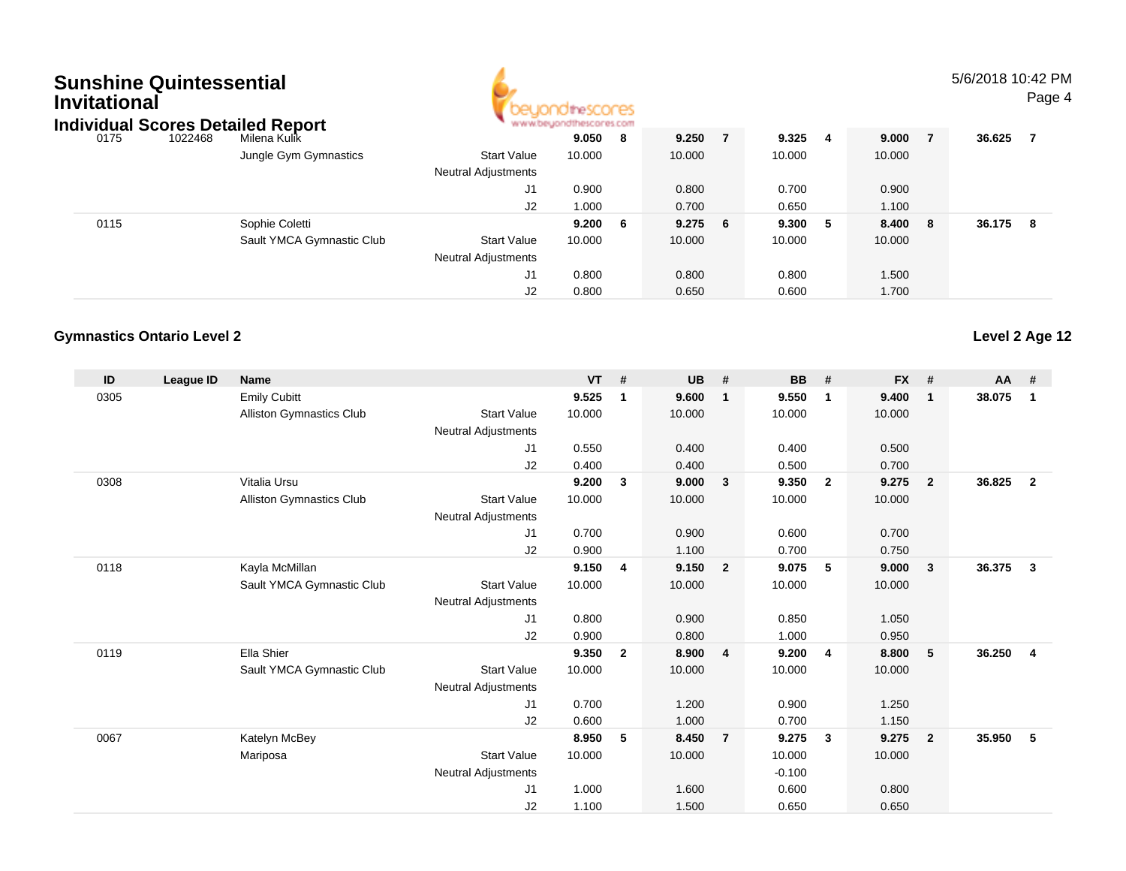# **Sunshine QuintessentialInvitational**



#### 5/6/2018 10:42 PMPage 4

| 1022468 | Milena Kulik              |                                   | 9.050  | - 8 | 9.250                   | 9.325  | -4    | 9.000  | 36.625 |    |
|---------|---------------------------|-----------------------------------|--------|-----|-------------------------|--------|-------|--------|--------|----|
|         | Jungle Gym Gymnastics     | <b>Start Value</b>                | 10.000 |     | 10.000                  | 10.000 |       | 10.000 |        |    |
|         |                           | <b>Neutral Adjustments</b>        |        |     |                         |        |       |        |        |    |
|         |                           | J1                                | 0.900  |     | 0.800                   | 0.700  |       | 0.900  |        |    |
|         |                           | J2                                | 1.000  |     | 0.700                   | 0.650  |       | 1.100  |        |    |
|         | Sophie Coletti            |                                   | 9.200  | - 6 |                         |        | -5    | 8.400  | 36.175 | -8 |
|         | Sault YMCA Gymnastic Club | <b>Start Value</b>                | 10.000 |     | 10.000                  | 10.000 |       | 10.000 |        |    |
|         |                           | <b>Neutral Adjustments</b>        |        |     |                         |        |       |        |        |    |
|         |                           | J1                                | 0.800  |     | 0.800                   | 0.800  |       | 1.500  |        |    |
|         |                           | J2                                | 0.800  |     | 0.650                   | 0.600  |       | 1.700  |        |    |
|         |                           | Individual Scores Detailed Report |        |     | www.beyondthescores.com | 9.2756 | 9.300 |        | - 8    |    |

#### **Gymnastics Ontario Level 2**

| ID   | League ID | <b>Name</b>                     |                            | <b>VT</b> | #              | <b>UB</b> | #                       | <b>BB</b> | #                       | <b>FX</b> | #              | <b>AA</b> | #              |
|------|-----------|---------------------------------|----------------------------|-----------|----------------|-----------|-------------------------|-----------|-------------------------|-----------|----------------|-----------|----------------|
| 0305 |           | <b>Emily Cubitt</b>             |                            | 9.525     | $\mathbf 1$    | 9.600     | $\overline{1}$          | 9.550     | $\mathbf{1}$            | 9.400     | $\mathbf{1}$   | 38.075    | 1              |
|      |           | <b>Alliston Gymnastics Club</b> | <b>Start Value</b>         | 10.000    |                | 10.000    |                         | 10.000    |                         | 10.000    |                |           |                |
|      |           |                                 | <b>Neutral Adjustments</b> |           |                |           |                         |           |                         |           |                |           |                |
|      |           |                                 | J <sub>1</sub>             | 0.550     |                | 0.400     |                         | 0.400     |                         | 0.500     |                |           |                |
|      |           |                                 | J2                         | 0.400     |                | 0.400     |                         | 0.500     |                         | 0.700     |                |           |                |
| 0308 |           | Vitalia Ursu                    |                            | 9.200     | $\mathbf{3}$   | 9.000     | $\overline{\mathbf{3}}$ | 9.350     | $\overline{\mathbf{2}}$ | 9.275     | $\overline{2}$ | 36.825    | $\overline{2}$ |
|      |           | Alliston Gymnastics Club        | <b>Start Value</b>         | 10.000    |                | 10.000    |                         | 10.000    |                         | 10.000    |                |           |                |
|      |           |                                 | <b>Neutral Adjustments</b> |           |                |           |                         |           |                         |           |                |           |                |
|      |           |                                 | J1                         | 0.700     |                | 0.900     |                         | 0.600     |                         | 0.700     |                |           |                |
|      |           |                                 | J2                         | 0.900     |                | 1.100     |                         | 0.700     |                         | 0.750     |                |           |                |
| 0118 |           | Kayla McMillan                  |                            | 9.150     | 4              | 9.150     | $\overline{\mathbf{2}}$ | 9.075     | 5                       | 9.000     | 3              | 36.375    | $\mathbf{3}$   |
|      |           | Sault YMCA Gymnastic Club       | <b>Start Value</b>         | 10.000    |                | 10.000    |                         | 10.000    |                         | 10.000    |                |           |                |
|      |           |                                 | <b>Neutral Adjustments</b> |           |                |           |                         |           |                         |           |                |           |                |
|      |           |                                 | J <sub>1</sub>             | 0.800     |                | 0.900     |                         | 0.850     |                         | 1.050     |                |           |                |
|      |           |                                 | J2                         | 0.900     |                | 0.800     |                         | 1.000     |                         | 0.950     |                |           |                |
| 0119 |           | Ella Shier                      |                            | 9.350     | $\overline{2}$ | 8.900     | $\overline{4}$          | 9.200     | $\overline{4}$          | 8.800     | 5              | 36.250    | $\overline{4}$ |
|      |           | Sault YMCA Gymnastic Club       | <b>Start Value</b>         | 10.000    |                | 10.000    |                         | 10.000    |                         | 10.000    |                |           |                |
|      |           |                                 | <b>Neutral Adjustments</b> |           |                |           |                         |           |                         |           |                |           |                |
|      |           |                                 | J <sub>1</sub>             | 0.700     |                | 1.200     |                         | 0.900     |                         | 1.250     |                |           |                |
|      |           |                                 | J2                         | 0.600     |                | 1.000     |                         | 0.700     |                         | 1.150     |                |           |                |
| 0067 |           | Katelyn McBey                   |                            | 8.950     | 5              | 8.450     | $\overline{7}$          | 9.275     | $\mathbf{3}$            | 9.275     | $\overline{2}$ | 35.950    | 5              |
|      |           | Mariposa                        | <b>Start Value</b>         | 10.000    |                | 10.000    |                         | 10.000    |                         | 10.000    |                |           |                |
|      |           |                                 | <b>Neutral Adjustments</b> |           |                |           |                         | $-0.100$  |                         |           |                |           |                |
|      |           |                                 | J <sub>1</sub>             | 1.000     |                | 1.600     |                         | 0.600     |                         | 0.800     |                |           |                |
|      |           |                                 | J <sub>2</sub>             | 1.100     |                | 1.500     |                         | 0.650     |                         | 0.650     |                |           |                |

**Level 2 Age 12**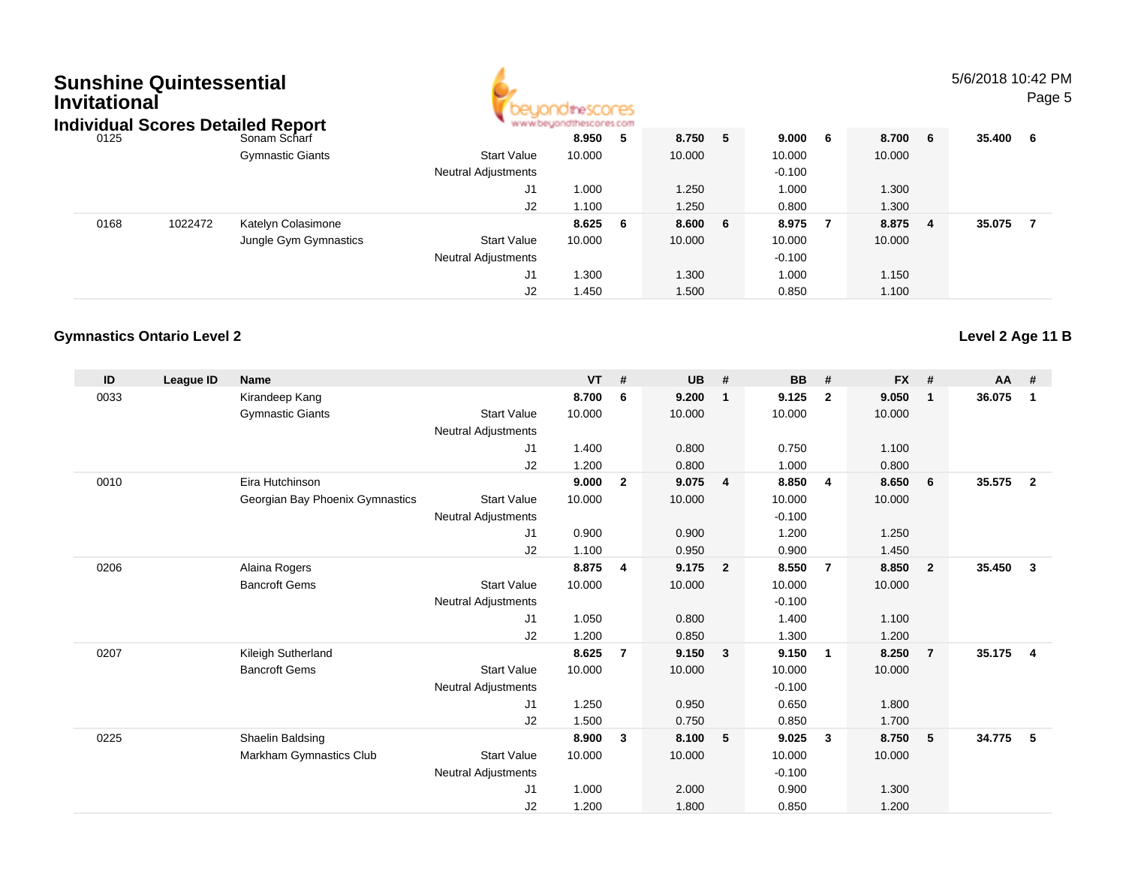| <b>Sunshine Quintessential</b><br>Invitational |         | <b>Individual Scores Detailed Report</b> |                            |        |     |        |     |          |     |         | 5/6/2018 10:42 PM | Page 5 |
|------------------------------------------------|---------|------------------------------------------|----------------------------|--------|-----|--------|-----|----------|-----|---------|-------------------|--------|
| 0125                                           |         | Sonam Scharf                             |                            | 8.950  | - 5 | 8.750  | -5  | 9.000    | - 6 | 8.700 6 | 35.400 6          |        |
|                                                |         | <b>Gymnastic Giants</b>                  | <b>Start Value</b>         | 10.000 |     | 10.000 |     | 10.000   |     | 10.000  |                   |        |
|                                                |         |                                          | <b>Neutral Adjustments</b> |        |     |        |     | $-0.100$ |     |         |                   |        |
|                                                |         |                                          | J <sub>1</sub>             | 1.000  |     | 1.250  |     | 1.000    |     | 1.300   |                   |        |
|                                                |         |                                          | J2                         | 1.100  |     | 1.250  |     | 0.800    |     | 1.300   |                   |        |
| 0168                                           | 1022472 | Katelyn Colasimone                       |                            | 8.625  | - 6 | 8.600  | - 6 | 8.975    |     | 8.875 4 | 35.075            | - 7    |
|                                                |         | Jungle Gym Gymnastics                    | <b>Start Value</b>         | 10.000 |     | 10.000 |     | 10.000   |     | 10.000  |                   |        |
|                                                |         |                                          | <b>Neutral Adjustments</b> |        |     |        |     | $-0.100$ |     |         |                   |        |
|                                                |         |                                          | J <sub>1</sub>             | 1.300  |     | 1.300  |     | 1.000    |     | 1.150   |                   |        |
|                                                |         |                                          | J2                         | 1.450  |     | 1.500  |     | 0.850    |     | 1.100   |                   |        |

**Level 2 Age 11 B**

#### **Gymnastics Ontario Level 2**

| ID   | <b>League ID</b> | <b>Name</b>                     |                            | <b>VT</b> | #              | <b>UB</b> | #                       | <b>BB</b> | #                       | <b>FX</b> | #              | $AA$ # |                |
|------|------------------|---------------------------------|----------------------------|-----------|----------------|-----------|-------------------------|-----------|-------------------------|-----------|----------------|--------|----------------|
| 0033 |                  | Kirandeep Kang                  |                            | 8.700     | 6              | 9.200     | $\mathbf{1}$            | 9.125     | $\mathbf{2}$            | 9.050     | $\mathbf{1}$   | 36.075 | $\mathbf 1$    |
|      |                  | <b>Gymnastic Giants</b>         | <b>Start Value</b>         | 10.000    |                | 10.000    |                         | 10.000    |                         | 10.000    |                |        |                |
|      |                  |                                 | <b>Neutral Adjustments</b> |           |                |           |                         |           |                         |           |                |        |                |
|      |                  |                                 | J1                         | 1.400     |                | 0.800     |                         | 0.750     |                         | 1.100     |                |        |                |
|      |                  |                                 | J2                         | 1.200     |                | 0.800     |                         | 1.000     |                         | 0.800     |                |        |                |
| 0010 |                  | Eira Hutchinson                 |                            | 9.000     | $\overline{2}$ | 9.075     | $\overline{4}$          | 8.850     | $\overline{4}$          | 8.650     | 6              | 35.575 | $\overline{2}$ |
|      |                  | Georgian Bay Phoenix Gymnastics | <b>Start Value</b>         | 10.000    |                | 10.000    |                         | 10.000    |                         | 10.000    |                |        |                |
|      |                  |                                 | <b>Neutral Adjustments</b> |           |                |           |                         | $-0.100$  |                         |           |                |        |                |
|      |                  |                                 | J1                         | 0.900     |                | 0.900     |                         | 1.200     |                         | 1.250     |                |        |                |
|      |                  |                                 | J2                         | 1.100     |                | 0.950     |                         | 0.900     |                         | 1.450     |                |        |                |
| 0206 |                  | Alaina Rogers                   |                            | 8.875     | 4              | 9.175     | $\overline{\mathbf{2}}$ | 8.550     | $\overline{7}$          | 8.850     | $\overline{2}$ | 35.450 | $\mathbf{3}$   |
|      |                  | <b>Bancroft Gems</b>            | <b>Start Value</b>         | 10.000    |                | 10.000    |                         | 10.000    |                         | 10.000    |                |        |                |
|      |                  |                                 | <b>Neutral Adjustments</b> |           |                |           |                         | $-0.100$  |                         |           |                |        |                |
|      |                  |                                 | J1                         | 1.050     |                | 0.800     |                         | 1.400     |                         | 1.100     |                |        |                |
|      |                  |                                 | J2                         | 1.200     |                | 0.850     |                         | 1.300     |                         | 1.200     |                |        |                |
| 0207 |                  | Kileigh Sutherland              |                            | 8.625     | $\overline{7}$ | 9.150     | $\mathbf{3}$            | 9.150     | $\overline{1}$          | 8.250     | $\overline{7}$ | 35.175 | $\overline{4}$ |
|      |                  | <b>Bancroft Gems</b>            | <b>Start Value</b>         | 10.000    |                | 10.000    |                         | 10.000    |                         | 10.000    |                |        |                |
|      |                  |                                 | <b>Neutral Adjustments</b> |           |                |           |                         | $-0.100$  |                         |           |                |        |                |
|      |                  |                                 | J1                         | 1.250     |                | 0.950     |                         | 0.650     |                         | 1.800     |                |        |                |
|      |                  |                                 | J2                         | 1.500     |                | 0.750     |                         | 0.850     |                         | 1.700     |                |        |                |
| 0225 |                  | Shaelin Baldsing                |                            | 8.900     | 3              | 8.100     | 5                       | 9.025     | $\overline{\mathbf{3}}$ | 8.750     | 5              | 34.775 | 5              |
|      |                  | Markham Gymnastics Club         | <b>Start Value</b>         | 10.000    |                | 10.000    |                         | 10.000    |                         | 10.000    |                |        |                |
|      |                  |                                 | <b>Neutral Adjustments</b> |           |                |           |                         | $-0.100$  |                         |           |                |        |                |
|      |                  |                                 | J1                         | 1.000     |                | 2.000     |                         | 0.900     |                         | 1.300     |                |        |                |
|      |                  |                                 | J2                         | 1.200     |                | 1.800     |                         | 0.850     |                         | 1.200     |                |        |                |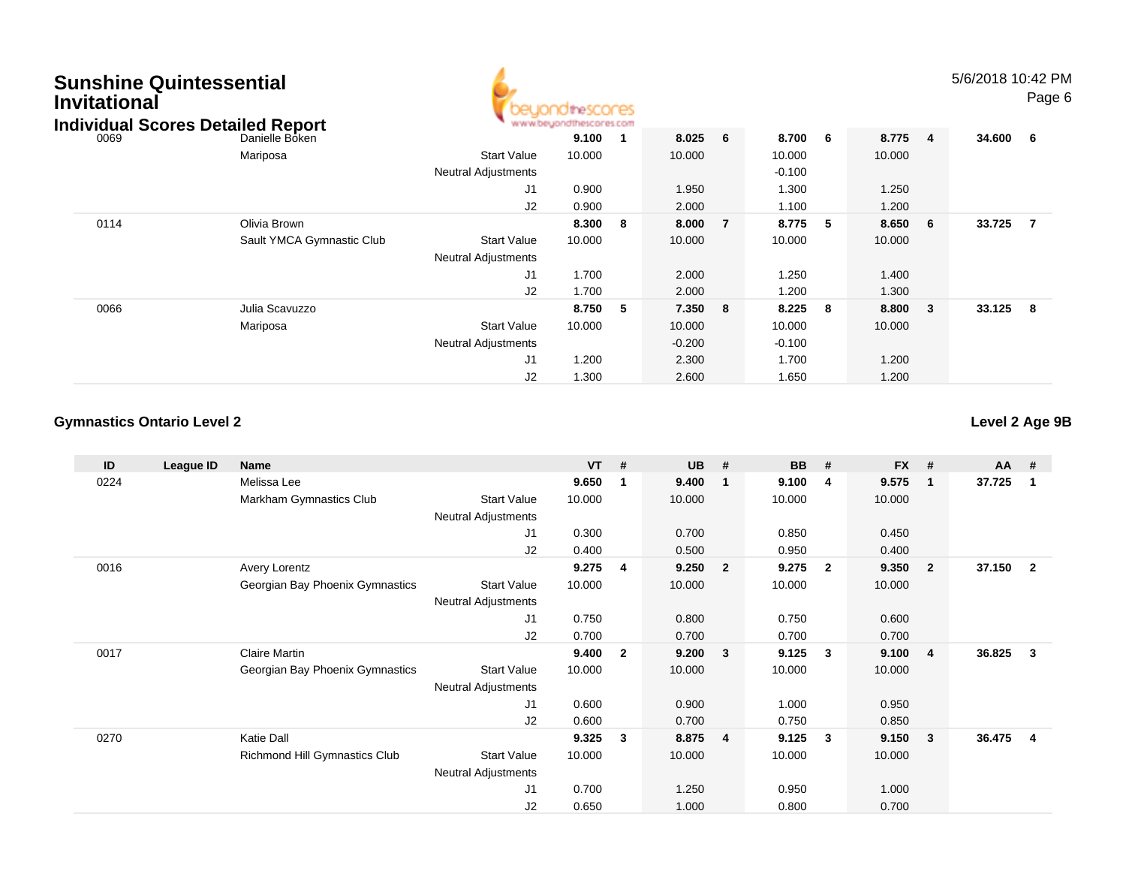| <b>Sunshine Quintessential</b><br><b>Invitational</b> | <b>Individual Scores Detailed Report</b> |                                                  | beyondthescores<br>www.beyondthescores.com |                         |          |   |                    |    |        |                         | 5/6/2018 10:42 PM | Page 6         |
|-------------------------------------------------------|------------------------------------------|--------------------------------------------------|--------------------------------------------|-------------------------|----------|---|--------------------|----|--------|-------------------------|-------------------|----------------|
| 0069                                                  | Danielle Boken                           |                                                  | 9.100                                      | - 1                     | 8.025    | 6 | 8.700              | 6  | 8.775  | $\overline{\mathbf{4}}$ | 34.600 6          |                |
|                                                       | Mariposa                                 | <b>Start Value</b><br><b>Neutral Adjustments</b> | 10.000                                     |                         | 10.000   |   | 10.000<br>$-0.100$ |    | 10.000 |                         |                   |                |
|                                                       |                                          | J1                                               | 0.900                                      |                         | 1.950    |   | 1.300              |    | 1.250  |                         |                   |                |
|                                                       |                                          | J2                                               | 0.900                                      |                         | 2.000    |   | 1.100              |    | 1.200  |                         |                   |                |
| 0114                                                  | Olivia Brown                             |                                                  | 8.300                                      | $\overline{\mathbf{8}}$ | 8.000    | 7 | 8.775              | -5 | 8.650  | 6                       | 33.725            | $\overline{7}$ |
|                                                       | Sault YMCA Gymnastic Club                | <b>Start Value</b>                               | 10.000                                     |                         | 10.000   |   | 10.000             |    | 10.000 |                         |                   |                |
|                                                       |                                          | <b>Neutral Adjustments</b>                       |                                            |                         |          |   |                    |    |        |                         |                   |                |
|                                                       |                                          | J <sub>1</sub>                                   | 1.700                                      |                         | 2.000    |   | 1.250              |    | 1.400  |                         |                   |                |
|                                                       |                                          | J2                                               | 1.700                                      |                         | 2.000    |   | 1.200              |    | 1.300  |                         |                   |                |
| 0066                                                  | Julia Scavuzzo                           |                                                  | 8.750                                      | 5                       | 7.350    | 8 | 8.225              | 8  | 8.800  | 3                       | 33.125            | - 8            |
|                                                       | Mariposa                                 | <b>Start Value</b>                               | 10.000                                     |                         | 10.000   |   | 10.000             |    | 10.000 |                         |                   |                |
|                                                       |                                          | <b>Neutral Adjustments</b>                       |                                            |                         | $-0.200$ |   | $-0.100$           |    |        |                         |                   |                |
|                                                       |                                          | J1                                               | 1.200                                      |                         | 2.300    |   | 1.700              |    | 1.200  |                         |                   |                |
|                                                       |                                          | J2                                               | 1.300                                      |                         | 2.600    |   | 1.650              |    | 1.200  |                         |                   |                |

A

#### **Gymnastics Ontario Level 2**

**ID**

0224

0016

0017

0270

 **League ID Name VT # UB # BB # FX # AA #** Melissa Lee **9.650 <sup>1</sup> 9.400 <sup>1</sup> 9.100 <sup>4</sup> 9.575 <sup>1</sup> 37.725 <sup>1</sup>** Markham Gymnastics Clubb 3tart Value 10.000 10.000 10.000 10.000 10.000 Neutral Adjustments J1 0.300 0.700 0.850 0.450 J2 0.400 0.500 0.950 0.400 Avery Lorentz **9.275 <sup>4</sup> 9.250 <sup>2</sup> 9.275 <sup>2</sup> 9.350 <sup>2</sup> 37.150 <sup>2</sup>** Georgian Bay Phoenix Gymnastics Start Valuee 10.000 10.000 10.000 10.000 Neutral Adjustments J1 0.750 0.800 0.750 0.600 J2 0.700 0.700 0.700 0.700 Claire Martin **9.400 <sup>2</sup> 9.200 <sup>3</sup> 9.125 <sup>3</sup> 9.100 <sup>4</sup> 36.825 <sup>3</sup>** Georgian Bay Phoenix Gymnastics Start Valuee 10.000 10.000 10.000 10.000 Neutral Adjustments J1 0.600 0.900 1.000 0.950 J2 0.600 0.700 0.750 0.850 Katie Dall **9.325 <sup>3</sup> 8.875 <sup>4</sup> 9.125 <sup>3</sup> 9.150 <sup>3</sup> 36.475 <sup>4</sup>** Richmond Hill Gymnastics Clubb Start Value 10.000 10.000 10.000 10.000 10.000 Neutral Adjustments

0.700 1.250 0.950 1.000

0.650 1.000 0.800 0.700

J1

J2

**Level 2 Age 9B**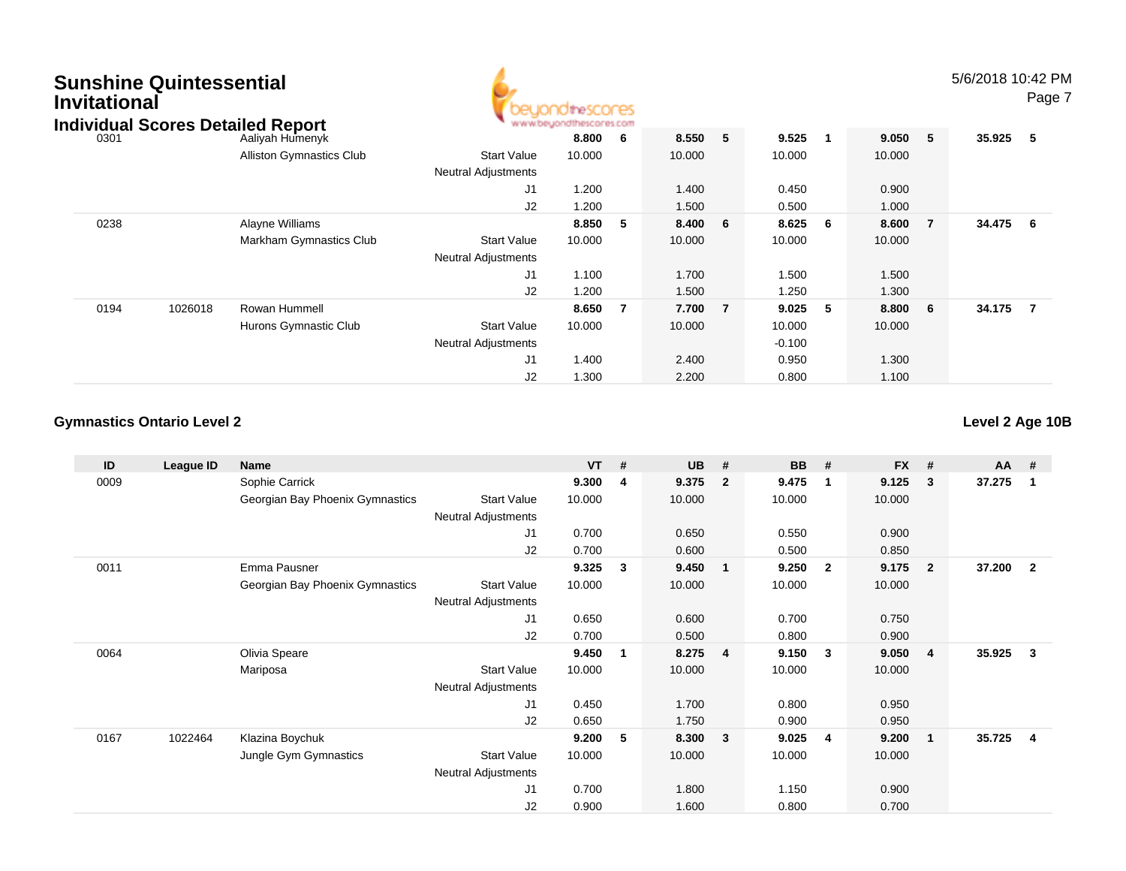# **Sunshine QuintessentialInvitational**



5/6/2018 10:42 PM

Page 7

|      |         | Individual Scores Detailed Report |                            | www.beyondthescores.com |             |        |                |           |   |         |                |        |                |
|------|---------|-----------------------------------|----------------------------|-------------------------|-------------|--------|----------------|-----------|---|---------|----------------|--------|----------------|
| 0301 |         | Aaliyah Humenyk                   |                            | 8.800                   | $6^{\circ}$ | 8.550  | 5              | 9.525     |   | 9.050 5 |                | 35.925 | - 5            |
|      |         | <b>Alliston Gymnastics Club</b>   | <b>Start Value</b>         | 10.000                  |             | 10.000 |                | 10.000    |   | 10.000  |                |        |                |
|      |         |                                   | <b>Neutral Adjustments</b> |                         |             |        |                |           |   |         |                |        |                |
|      |         |                                   | J1                         | 1.200                   |             | 1.400  |                | 0.450     |   | 0.900   |                |        |                |
|      |         |                                   | J2                         | 1.200                   |             | 1.500  |                | 0.500     |   | 1.000   |                |        |                |
| 0238 |         | Alayne Williams                   |                            | 8.850                   | - 5         | 8.400  | 6              | $8.625$ 6 |   | 8.600   | $\overline{7}$ | 34.475 | - 6            |
|      |         | Markham Gymnastics Club           | <b>Start Value</b>         | 10.000                  |             | 10.000 |                | 10.000    |   | 10.000  |                |        |                |
|      |         |                                   | <b>Neutral Adjustments</b> |                         |             |        |                |           |   |         |                |        |                |
|      |         |                                   | J1                         | 1.100                   |             | 1.700  |                | 1.500     |   | 1.500   |                |        |                |
|      |         |                                   | J2                         | 1.200                   |             | 1.500  |                | 1.250     |   | 1.300   |                |        |                |
| 0194 | 1026018 | Rowan Hummell                     |                            | 8.650                   | - 7         | 7.700  | $\overline{7}$ | 9.025     | 5 | 8.800   | - 6            | 34.175 | $\overline{7}$ |
|      |         | Hurons Gymnastic Club             | Start Value                | 10.000                  |             | 10.000 |                | 10.000    |   | 10.000  |                |        |                |
|      |         |                                   | <b>Neutral Adjustments</b> |                         |             |        |                | $-0.100$  |   |         |                |        |                |
|      |         |                                   | J <sub>1</sub>             | 1.400                   |             | 2.400  |                | 0.950     |   | 1.300   |                |        |                |
|      |         |                                   | J2                         | 1.300                   |             | 2.200  |                | 0.800     |   | 1.100   |                |        |                |

#### **Gymnastics Ontario Level 2**

**Level 2 Age 10B**

| ID   | League ID | <b>Name</b>                     |                            | <b>VT</b> | # | <b>UB</b> | #              | <b>BB</b> | #            | <b>FX</b> | #                       | AA     | #              |
|------|-----------|---------------------------------|----------------------------|-----------|---|-----------|----------------|-----------|--------------|-----------|-------------------------|--------|----------------|
| 0009 |           | Sophie Carrick                  |                            | 9.300     | 4 | 9.375     | $\overline{2}$ | 9.475     | -1           | 9.125     | $_{3}$                  | 37.275 | $\overline{1}$ |
|      |           | Georgian Bay Phoenix Gymnastics | <b>Start Value</b>         | 10.000    |   | 10.000    |                | 10.000    |              | 10.000    |                         |        |                |
|      |           |                                 | Neutral Adjustments        |           |   |           |                |           |              |           |                         |        |                |
|      |           |                                 | J1                         | 0.700     |   | 0.650     |                | 0.550     |              | 0.900     |                         |        |                |
|      |           |                                 | J2                         | 0.700     |   | 0.600     |                | 0.500     |              | 0.850     |                         |        |                |
| 0011 |           | Emma Pausner                    |                            | 9.325     | 3 | 9.450     | 1              | 9.250     | $\mathbf{2}$ | 9.175     | $\overline{\mathbf{2}}$ | 37.200 | $\overline{2}$ |
|      |           | Georgian Bay Phoenix Gymnastics | <b>Start Value</b>         | 10.000    |   | 10.000    |                | 10.000    |              | 10.000    |                         |        |                |
|      |           |                                 | <b>Neutral Adjustments</b> |           |   |           |                |           |              |           |                         |        |                |
|      |           |                                 | J1                         | 0.650     |   | 0.600     |                | 0.700     |              | 0.750     |                         |        |                |
|      |           |                                 | J2                         | 0.700     |   | 0.500     |                | 0.800     |              | 0.900     |                         |        |                |
| 0064 |           | Olivia Speare                   |                            | 9.450     | 1 | 8.275     | $\overline{4}$ | 9.150     | $\mathbf{3}$ | 9.050     | $\overline{4}$          | 35.925 | - 3            |
|      |           | Mariposa                        | <b>Start Value</b>         | 10.000    |   | 10.000    |                | 10.000    |              | 10.000    |                         |        |                |
|      |           |                                 | <b>Neutral Adjustments</b> |           |   |           |                |           |              |           |                         |        |                |
|      |           |                                 | J1                         | 0.450     |   | 1.700     |                | 0.800     |              | 0.950     |                         |        |                |
|      |           |                                 | J2                         | 0.650     |   | 1.750     |                | 0.900     |              | 0.950     |                         |        |                |
| 0167 | 1022464   | Klazina Boychuk                 |                            | 9.200     | 5 | 8.300     | $\mathbf{3}$   | 9.025     | 4            | 9.200     | -1                      | 35.725 | -4             |
|      |           | Jungle Gym Gymnastics           | <b>Start Value</b>         | 10.000    |   | 10.000    |                | 10.000    |              | 10.000    |                         |        |                |
|      |           |                                 | Neutral Adjustments        |           |   |           |                |           |              |           |                         |        |                |
|      |           |                                 | J1                         | 0.700     |   | 1.800     |                | 1.150     |              | 0.900     |                         |        |                |
|      |           |                                 | J <sub>2</sub>             | 0.900     |   | 1.600     |                | 0.800     |              | 0.700     |                         |        |                |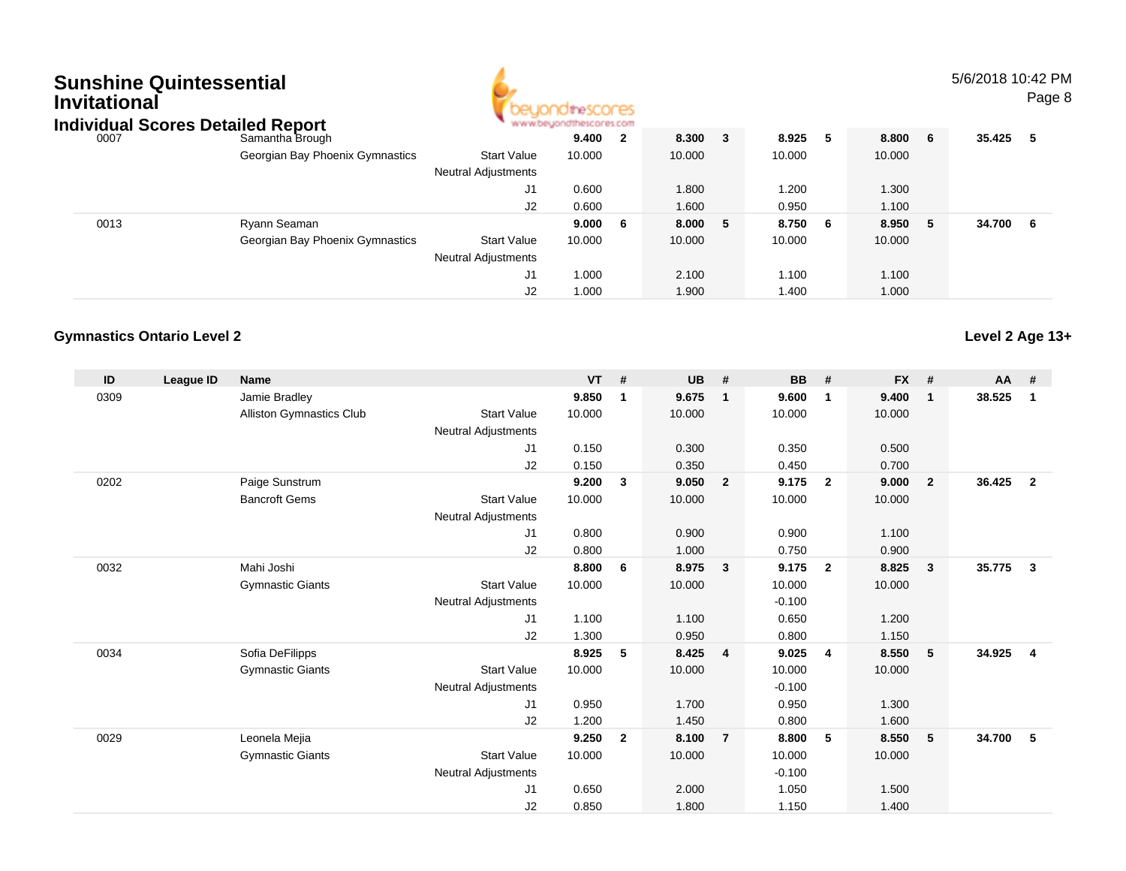# **Sunshine QuintessentialInvitational**



5/6/2018 10:42 PMPage 8

| <b>Individual Scores Detailed Report</b> |                                 |                            | www.beyondthescores.com |                         |        |    |        |     |        |     |        |     |
|------------------------------------------|---------------------------------|----------------------------|-------------------------|-------------------------|--------|----|--------|-----|--------|-----|--------|-----|
| 0007                                     | Samantha Brough                 |                            | 9.400                   | $\overline{\mathbf{2}}$ | 8.300  | 3  | 8.925  | 5   | 8.800  | - 6 | 35.425 | -5  |
|                                          | Georgian Bay Phoenix Gymnastics | <b>Start Value</b>         | 10.000                  |                         | 10.000 |    | 10.000 |     | 10.000 |     |        |     |
|                                          |                                 | <b>Neutral Adjustments</b> |                         |                         |        |    |        |     |        |     |        |     |
|                                          |                                 | J1                         | 0.600                   |                         | 1.800  |    | 1.200  |     | 1.300  |     |        |     |
|                                          |                                 | J2                         | 0.600                   |                         | 1.600  |    | 0.950  |     | 1.100  |     |        |     |
| 0013                                     | Ryann Seaman                    |                            | 9.000                   | - 6                     | 8.000  | -5 | 8.750  | - 6 | 8.950  | - 5 | 34.700 | - 6 |
|                                          | Georgian Bay Phoenix Gymnastics | <b>Start Value</b>         | 10.000                  |                         | 10.000 |    | 10.000 |     | 10.000 |     |        |     |
|                                          |                                 | <b>Neutral Adjustments</b> |                         |                         |        |    |        |     |        |     |        |     |
|                                          |                                 | J1                         | 1.000                   |                         | 2.100  |    | 1.100  |     | 1.100  |     |        |     |
|                                          |                                 | J2                         | 1.000                   |                         | 1.900  |    | 1.400  |     | 1.000  |     |        |     |

#### **Gymnastics Ontario Level 2**

| ID   | League ID | <b>Name</b>              |                            | <b>VT</b> | #            | <b>UB</b> | #                       | <b>BB</b> | #                       | <b>FX</b> | #              | <b>AA</b> | #              |
|------|-----------|--------------------------|----------------------------|-----------|--------------|-----------|-------------------------|-----------|-------------------------|-----------|----------------|-----------|----------------|
| 0309 |           | Jamie Bradley            |                            | 9.850     | $\mathbf{1}$ | 9.675     | $\overline{\mathbf{1}}$ | 9.600     | $\mathbf{1}$            | 9.400     | $\mathbf{1}$   | 38.525    | 1              |
|      |           | Alliston Gymnastics Club | <b>Start Value</b>         | 10.000    |              | 10.000    |                         | 10.000    |                         | 10.000    |                |           |                |
|      |           |                          | Neutral Adjustments        |           |              |           |                         |           |                         |           |                |           |                |
|      |           |                          | J <sub>1</sub>             | 0.150     |              | 0.300     |                         | 0.350     |                         | 0.500     |                |           |                |
|      |           |                          | J2                         | 0.150     |              | 0.350     |                         | 0.450     |                         | 0.700     |                |           |                |
| 0202 |           | Paige Sunstrum           |                            | 9.200     | 3            | 9.050     | $\overline{\mathbf{2}}$ | 9.175     | $\overline{2}$          | 9.000     | $\overline{2}$ | 36.425    | $\overline{2}$ |
|      |           | <b>Bancroft Gems</b>     | <b>Start Value</b>         | 10.000    |              | 10.000    |                         | 10.000    |                         | 10.000    |                |           |                |
|      |           |                          | <b>Neutral Adjustments</b> |           |              |           |                         |           |                         |           |                |           |                |
|      |           |                          | J <sub>1</sub>             | 0.800     |              | 0.900     |                         | 0.900     |                         | 1.100     |                |           |                |
|      |           |                          | J2                         | 0.800     |              | 1.000     |                         | 0.750     |                         | 0.900     |                |           |                |
| 0032 |           | Mahi Joshi               |                            | 8.800     | 6            | 8.975     | $\overline{\mathbf{3}}$ | 9.175     | $\overline{\mathbf{2}}$ | 8.825     | $\mathbf{3}$   | 35.775    | $\mathbf{3}$   |
|      |           | <b>Gymnastic Giants</b>  | <b>Start Value</b>         | 10.000    |              | 10.000    |                         | 10.000    |                         | 10.000    |                |           |                |
|      |           |                          | <b>Neutral Adjustments</b> |           |              |           |                         | $-0.100$  |                         |           |                |           |                |
|      |           |                          | J1                         | 1.100     |              | 1.100     |                         | 0.650     |                         | 1.200     |                |           |                |
|      |           |                          | J2                         | 1.300     |              | 0.950     |                         | 0.800     |                         | 1.150     |                |           |                |
| 0034 |           | Sofia DeFilipps          |                            | 8.925     | 5            | 8.425     | $\overline{4}$          | 9.025     | $\overline{4}$          | 8.550     | 5              | 34.925    | $\overline{4}$ |
|      |           | <b>Gymnastic Giants</b>  | <b>Start Value</b>         | 10.000    |              | 10.000    |                         | 10.000    |                         | 10.000    |                |           |                |
|      |           |                          | <b>Neutral Adjustments</b> |           |              |           |                         | $-0.100$  |                         |           |                |           |                |
|      |           |                          | J <sub>1</sub>             | 0.950     |              | 1.700     |                         | 0.950     |                         | 1.300     |                |           |                |
|      |           |                          | J2                         | 1.200     |              | 1.450     |                         | 0.800     |                         | 1.600     |                |           |                |
| 0029 |           | Leonela Mejia            |                            | 9.250     | $\mathbf{2}$ | 8.100     | $\overline{7}$          | 8.800     | 5                       | 8.550     | 5              | 34.700    | 5              |
|      |           | <b>Gymnastic Giants</b>  | <b>Start Value</b>         | 10.000    |              | 10.000    |                         | 10.000    |                         | 10.000    |                |           |                |
|      |           |                          | <b>Neutral Adjustments</b> |           |              |           |                         | $-0.100$  |                         |           |                |           |                |
|      |           |                          | J <sub>1</sub>             | 0.650     |              | 2.000     |                         | 1.050     |                         | 1.500     |                |           |                |
|      |           |                          | J <sub>2</sub>             | 0.850     |              | 1.800     |                         | 1.150     |                         | 1.400     |                |           |                |

**Level 2 Age 13+**